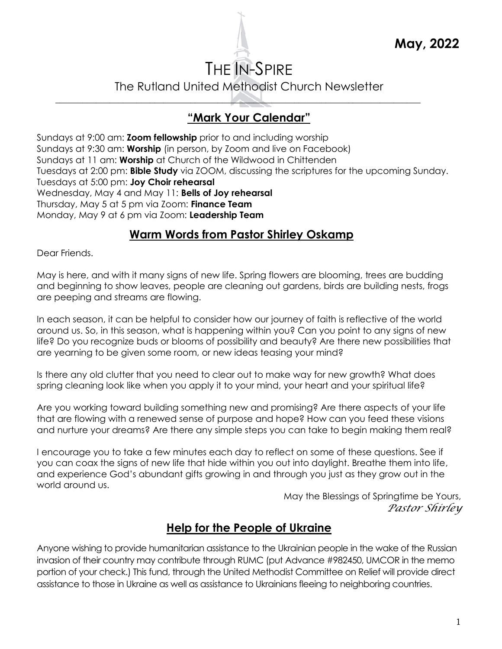# THE IN-SPIRE

The Rutland United Methodist Church Newsletter

\_\_\_\_\_\_\_\_\_\_\_\_\_\_\_\_\_\_\_\_\_\_\_\_\_\_\_\_\_\_\_\_\_\_\_\_\_\_\_\_\_\_\_\_\_\_\_\_\_\_\_\_\_\_\_\_\_\_\_\_\_\_\_\_\_\_\_\_\_\_\_\_\_\_\_\_\_\_\_\_\_

# **"Mark Your Calendar"**

Sundays at 9:00 am: **Zoom fellowship** prior to and including worship Sundays at 9:30 am: **Worship** (in person, by Zoom and live on Facebook) Sundays at 11 am: **Worship** at Church of the Wildwood in Chittenden Tuesdays at 2:00 pm: **Bible Study** via ZOOM, discussing the scriptures for the upcoming Sunday. Tuesdays at 5:00 pm: **Joy Choir rehearsal** Wednesday, May 4 and May 11: **Bells of Joy rehearsal** Thursday, May 5 at 5 pm via Zoom: **Finance Team** Monday, May 9 at 6 pm via Zoom: **Leadership Team**

### **Warm Words from Pastor Shirley Oskamp**

Dear Friends.

May is here, and with it many signs of new life. Spring flowers are blooming, trees are budding and beginning to show leaves, people are cleaning out gardens, birds are building nests, frogs are peeping and streams are flowing.

In each season, it can be helpful to consider how our journey of faith is reflective of the world around us. So, in this season, what is happening within you? Can you point to any signs of new life? Do you recognize buds or blooms of possibility and beauty? Are there new possibilities that are yearning to be given some room, or new ideas teasing your mind?

Is there any old clutter that you need to clear out to make way for new growth? What does spring cleaning look like when you apply it to your mind, your heart and your spiritual life?

Are you working toward building something new and promising? Are there aspects of your life that are flowing with a renewed sense of purpose and hope? How can you feed these visions and nurture your dreams? Are there any simple steps you can take to begin making them real?

I encourage you to take a few minutes each day to reflect on some of these questions. See if you can coax the signs of new life that hide within you out into daylight. Breathe them into life, and experience God's abundant gifts growing in and through you just as they grow out in the world around us.

May the Blessings of Springtime be Yours, *Pastor Shirley*

### **Help for the People of Ukraine**

Anyone wishing to provide humanitarian assistance to the Ukrainian people in the wake of the Russian invasion of their country may contribute through RUMC (put Advance #982450, UMCOR in the memo portion of your check.) This fund, through the United Methodist Committee on Relief will provide direct assistance to those in Ukraine as well as assistance to Ukrainians fleeing to neighboring countries.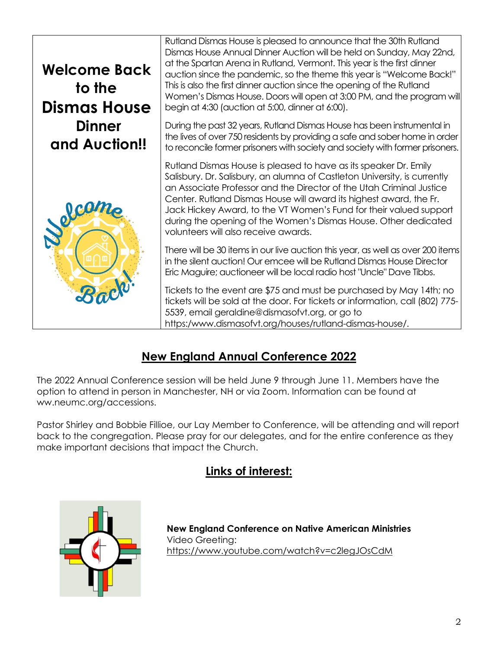

# **New England Annual Conference 2022**

The 2022 Annual Conference session will be held June 9 through June 11. Members have the option to attend in person in Manchester, NH or via Zoom. Information can be found at ww.neumc.org/accessions.

Pastor Shirley and Bobbie Fillioe, our Lay Member to Conference, will be attending and will report back to the congregation. Please pray for our delegates, and for the entire conference as they make important decisions that impact the Church.

# **Links of interest:**



**New England Conference on Native American Ministries** Video Greeting: <https://www.youtube.com/watch?v=c2legJOsCdM>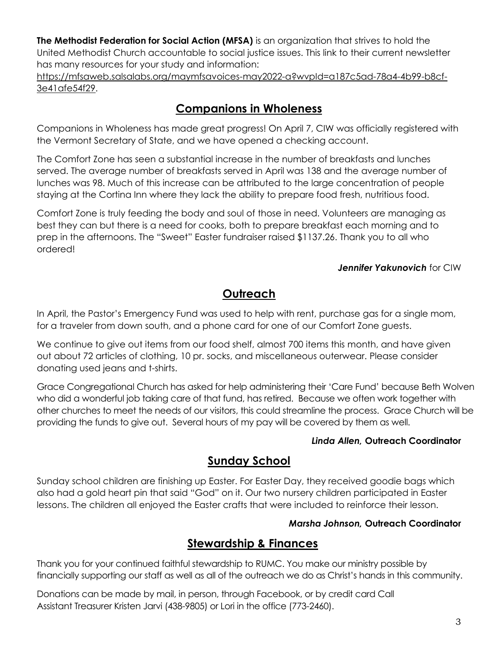**The Methodist Federation for Social Action (MFSA)** is an organization that strives to hold the United Methodist Church accountable to social justice issues. This link to their current newsletter has many resources for your study and information:

[https://mfsaweb.salsalabs.org/maymfsavoices-may2022-a?wvpId=a187c5ad-78a4-4b99-b8cf-](https://mfsaweb.salsalabs.org/maymfsavoices-may2022-a?wvpId=a187c5ad-78a4-4b99-b8cf-3e41afe54f29)[3e41afe54f29.](https://mfsaweb.salsalabs.org/maymfsavoices-may2022-a?wvpId=a187c5ad-78a4-4b99-b8cf-3e41afe54f29)

### **Companions in Wholeness**

Companions in Wholeness has made great progress! On April 7, CIW was officially registered with the Vermont Secretary of State, and we have opened a checking account.

The Comfort Zone has seen a substantial increase in the number of breakfasts and lunches served. The average number of breakfasts served in April was 138 and the average number of lunches was 98. Much of this increase can be attributed to the large concentration of people staying at the Cortina Inn where they lack the ability to prepare food fresh, nutritious food.

Comfort Zone is truly feeding the body and soul of those in need. Volunteers are managing as best they can but there is a need for cooks, both to prepare breakfast each morning and to prep in the afternoons. The "Sweet" Easter fundraiser raised \$1137.26. Thank you to all who ordered!

#### *Jennifer Yakunovich* for CIW

# **Outreach**

In April, the Pastor's Emergency Fund was used to help with rent, purchase gas for a single mom, for a traveler from down south, and a phone card for one of our Comfort Zone guests.

We continue to give out items from our food shelf, almost 700 items this month, and have given out about 72 articles of clothing, 10 pr. socks, and miscellaneous outerwear. Please consider donating used jeans and t-shirts.

Grace Congregational Church has asked for help administering their 'Care Fund' because Beth Wolven who did a wonderful job taking care of that fund, has retired. Because we often work together with other churches to meet the needs of our visitors, this could streamline the process. Grace Church will be providing the funds to give out. Several hours of my pay will be covered by them as well.

#### *Linda Allen,* **Outreach Coordinator**

#### **Sunday School**

Sunday school children are finishing up Easter. For Easter Day, they received goodie bags which also had a gold heart pin that said "God" on it. Our two nursery children participated in Easter lessons. The children all enjoyed the Easter crafts that were included to reinforce their lesson.

#### *Marsha Johnson,* **Outreach Coordinator**

### **Stewardship & Finances**

Thank you for your continued faithful stewardship to RUMC. You make our ministry possible by financially supporting our staff as well as all of the outreach we do as Christ's hands in this community.

Donations can be made by mail, in person, through Facebook, or by credit card Call Assistant Treasurer Kristen Jarvi (438-9805) or Lori in the office (773-2460).